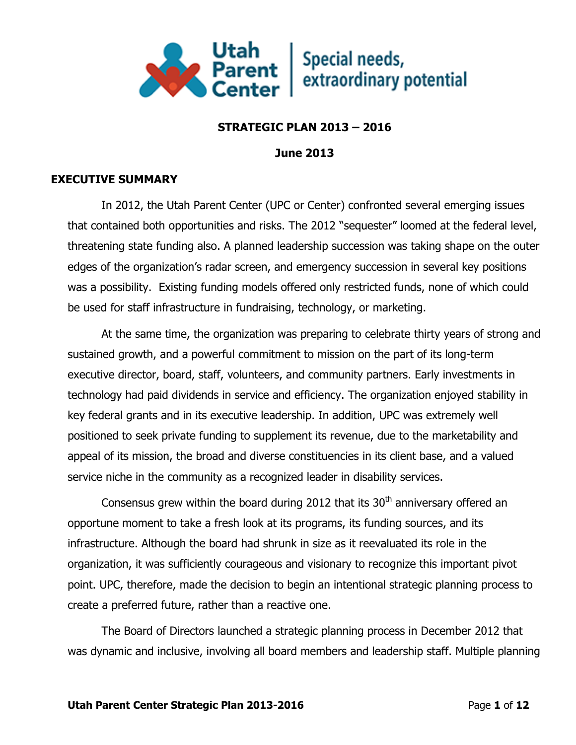

# **STRATEGIC PLAN 2013 – 2016**

**June 2013**

# **EXECUTIVE SUMMARY**

In 2012, the Utah Parent Center (UPC or Center) confronted several emerging issues that contained both opportunities and risks. The 2012 "sequester" loomed at the federal level, threatening state funding also. A planned leadership succession was taking shape on the outer edges of the organization's radar screen, and emergency succession in several key positions was a possibility. Existing funding models offered only restricted funds, none of which could be used for staff infrastructure in fundraising, technology, or marketing.

At the same time, the organization was preparing to celebrate thirty years of strong and sustained growth, and a powerful commitment to mission on the part of its long-term executive director, board, staff, volunteers, and community partners. Early investments in technology had paid dividends in service and efficiency. The organization enjoyed stability in key federal grants and in its executive leadership. In addition, UPC was extremely well positioned to seek private funding to supplement its revenue, due to the marketability and appeal of its mission, the broad and diverse constituencies in its client base, and a valued service niche in the community as a recognized leader in disability services.

Consensus grew within the board during 2012 that its  $30<sup>th</sup>$  anniversary offered an opportune moment to take a fresh look at its programs, its funding sources, and its infrastructure. Although the board had shrunk in size as it reevaluated its role in the organization, it was sufficiently courageous and visionary to recognize this important pivot point. UPC, therefore, made the decision to begin an intentional strategic planning process to create a preferred future, rather than a reactive one.

The Board of Directors launched a strategic planning process in December 2012 that was dynamic and inclusive, involving all board members and leadership staff. Multiple planning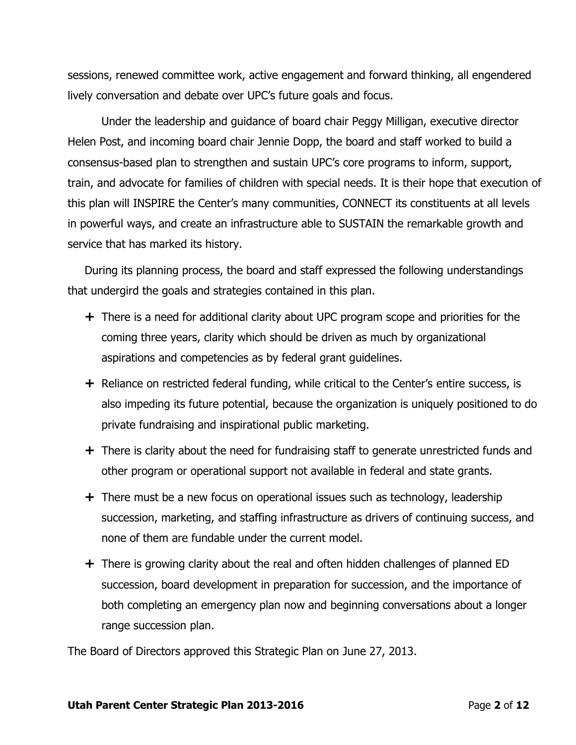sessions, renewed committee work, active engagement and forward thinking, all engendered lively conversation and debate over UPC's future goals and focus.

Under the leadership and guidance of board chair Peggy Milligan, executive director Helen Post, and incoming board chair Jennie Dopp, the board and staff worked to build a consensus-based plan to strengthen and sustain UPC's core programs to inform, support, train, and advocate for families of children with special needs. It is their hope that execution of this plan will INSPIRE the Center's many communities, CONNECT its constituents at all levels in powerful ways, and create an infrastructure able to SUSTAIN the remarkable growth and service that has marked its history.

During its planning process, the board and staff expressed the following understandings that undergird the goals and strategies contained in this plan.

- $+$  There is a need for additional clarity about UPC program scope and priorities for the coming three years, clarity which should be driven as much by organizational aspirations and competencies as by federal grant guidelines.
- $+$  Reliance on restricted federal funding, while critical to the Center's entire success, is also impeding its future potential, because the organization is uniquely positioned to do private fundraising and inspirational public marketing.
- $+$  There is clarity about the need for fundraising staff to generate unrestricted funds and other program or operational support not available in federal and state grants.
- $+$  There must be a new focus on operational issues such as technology, leadership succession, marketing, and staffing infrastructure as drivers of continuing success, and none of them are fundable under the current model.
- $+$  There is growing clarity about the real and often hidden challenges of planned ED succession, board development in preparation for succession, and the importance of both completing an emergency plan now and beginning conversations about a longer range succession plan.

The Board of Directors approved this Strategic Plan on June 27, 2013.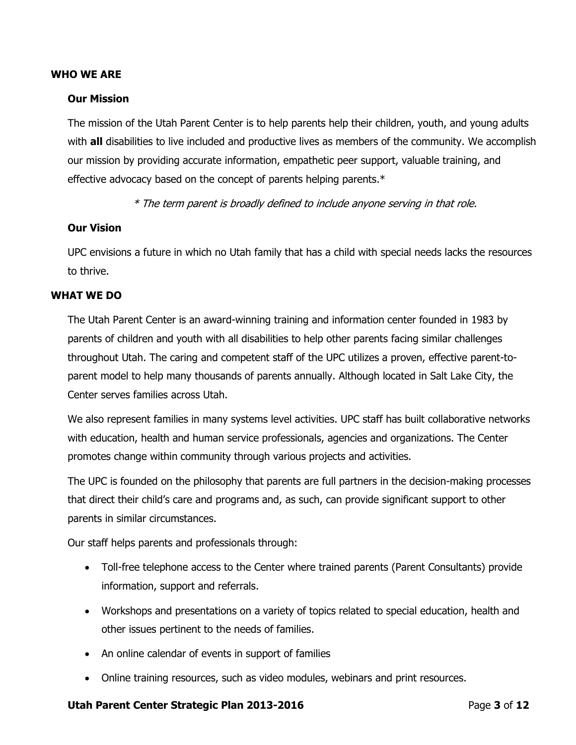#### **WHO WE ARE**

#### **Our Mission**

The mission of the Utah Parent Center is to help parents help their children, youth, and young adults with **all** disabilities to live included and productive lives as members of the community. We accomplish our mission by providing accurate information, empathetic peer support, valuable training, and effective advocacy based on the concept of parents helping parents.\*

\* The term parent is broadly defined to include anyone serving in that role.

#### **Our Vision**

UPC envisions a future in which no Utah family that has a child with special needs lacks the resources to thrive.

#### **WHAT WE DO**

The Utah Parent Center is an award-winning training and information center founded in 1983 by parents of children and youth with all disabilities to help other parents facing similar challenges throughout Utah. The caring and competent staff of the UPC utilizes a proven, effective parent-toparent model to help many thousands of parents annually. Although located in Salt Lake City, the Center serves families across Utah.

We also represent families in many systems level activities. UPC staff has built collaborative networks with education, health and human service professionals, agencies and organizations. The Center promotes change within community through various projects and activities.

The UPC is founded on the philosophy that parents are full partners in the decision-making processes that direct their child's care and programs and, as such, can provide significant support to other parents in similar circumstances.

Our staff helps parents and professionals through:

- Toll-free telephone access to the Center where trained parents (Parent Consultants) provide information, support and referrals.
- Workshops and presentations on a variety of topics related to special education, health and other issues pertinent to the needs of families.
- An online calendar of events in support of families
- Online training resources, such as video modules, webinars and print resources.

#### **Utah Parent Center Strategic Plan 2013-2016** Page **3** of **12**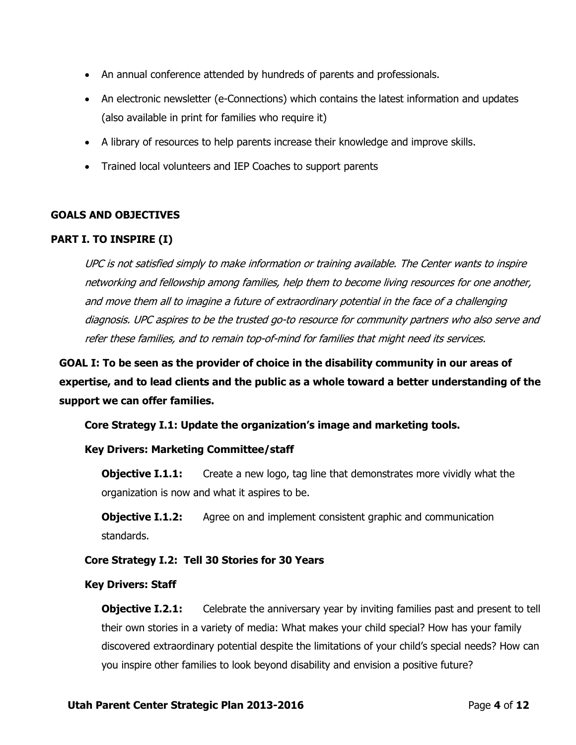- An annual conference attended by hundreds of parents and professionals.
- An electronic newsletter (e-Connections) which contains the latest information and updates (also available in print for families who require it)
- A library of resources to help parents increase their knowledge and improve skills.
- Trained local volunteers and IEP Coaches to support parents

# **GOALS AND OBJECTIVES**

# **PART I. TO INSPIRE (I)**

UPC is not satisfied simply to make information or training available. The Center wants to inspire networking and fellowship among families, help them to become living resources for one another, and move them all to imagine a future of extraordinary potential in the face of a challenging diagnosis. UPC aspires to be the trusted go-to resource for community partners who also serve and refer these families, and to remain top-of-mind for families that might need its services.

**GOAL I: To be seen as the provider of choice in the disability community in our areas of expertise, and to lead clients and the public as a whole toward a better understanding of the support we can offer families.**

**Core Strategy I.1: Update the organization's image and marketing tools.** 

# **Key Drivers: Marketing Committee/staff**

**Objective I.1.1:** Create a new logo, tag line that demonstrates more vividly what the organization is now and what it aspires to be.

**Objective I.1.2:** Agree on and implement consistent graphic and communication standards.

### **Core Strategy I.2: Tell 30 Stories for 30 Years**

### **Key Drivers: Staff**

**Objective I.2.1:** Celebrate the anniversary year by inviting families past and present to tell their own stories in a variety of media: What makes your child special? How has your family discovered extraordinary potential despite the limitations of your child's special needs? How can you inspire other families to look beyond disability and envision a positive future?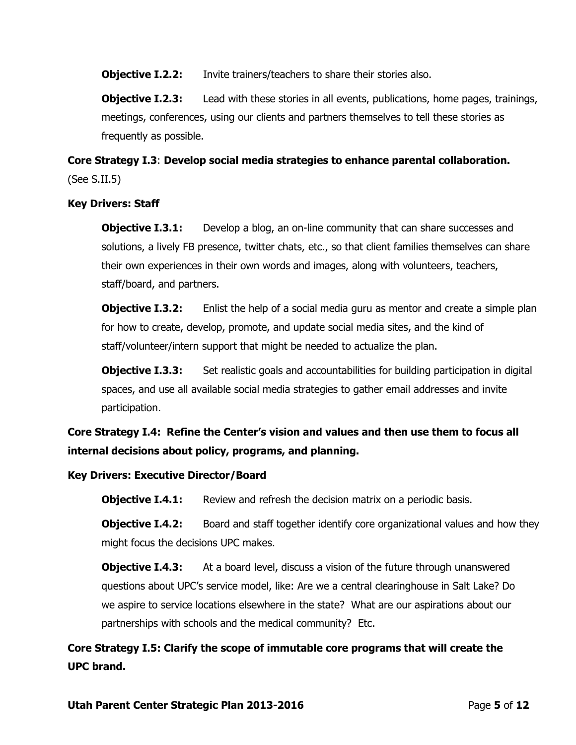**Objective I.2.2:** Invite trainers/teachers to share their stories also.

**Objective I.2.3:** Lead with these stories in all events, publications, home pages, trainings, meetings, conferences, using our clients and partners themselves to tell these stories as frequently as possible.

# **Core Strategy I.3**: **Develop social media strategies to enhance parental collaboration.**  (See S.II.5)

## **Key Drivers: Staff**

**Objective I.3.1:** Develop a blog, an on-line community that can share successes and solutions, a lively FB presence, twitter chats, etc., so that client families themselves can share their own experiences in their own words and images, along with volunteers, teachers, staff/board, and partners.

**Objective I.3.2:** Enlist the help of a social media guru as mentor and create a simple plan for how to create, develop, promote, and update social media sites, and the kind of staff/volunteer/intern support that might be needed to actualize the plan.

**Objective I.3.3:** Set realistic goals and accountabilities for building participation in digital spaces, and use all available social media strategies to gather email addresses and invite participation.

**Core Strategy I.4: Refine the Center's vision and values and then use them to focus all internal decisions about policy, programs, and planning.**

# **Key Drivers: Executive Director/Board**

**Objective I.4.1:** Review and refresh the decision matrix on a periodic basis.

**Objective I.4.2:** Board and staff together identify core organizational values and how they might focus the decisions UPC makes.

**Objective I.4.3:** At a board level, discuss a vision of the future through unanswered questions about UPC's service model, like: Are we a central clearinghouse in Salt Lake? Do we aspire to service locations elsewhere in the state? What are our aspirations about our partnerships with schools and the medical community? Etc.

**Core Strategy I.5: Clarify the scope of immutable core programs that will create the UPC brand.**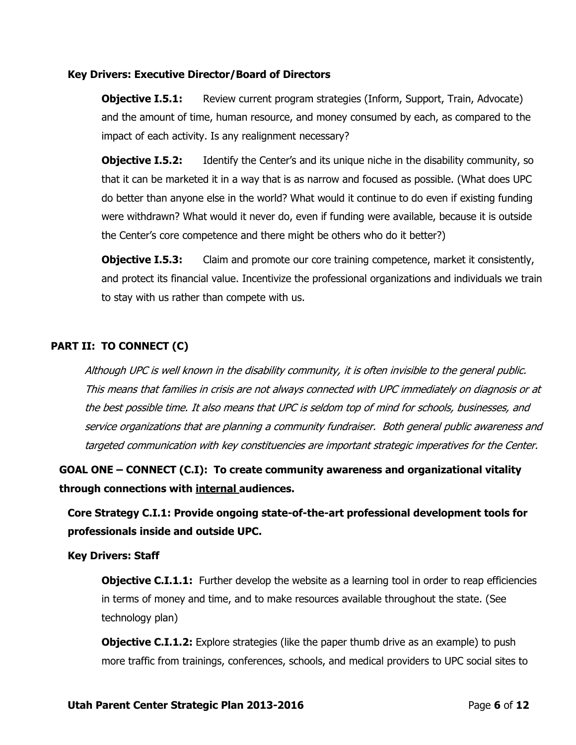#### **Key Drivers: Executive Director/Board of Directors**

**Objective I.5.1:** Review current program strategies (Inform, Support, Train, Advocate) and the amount of time, human resource, and money consumed by each, as compared to the impact of each activity. Is any realignment necessary?

**Objective I.5.2:** Identify the Center's and its unique niche in the disability community, so that it can be marketed it in a way that is as narrow and focused as possible. (What does UPC do better than anyone else in the world? What would it continue to do even if existing funding were withdrawn? What would it never do, even if funding were available, because it is outside the Center's core competence and there might be others who do it better?)

**Objective I.5.3:** Claim and promote our core training competence, market it consistently, and protect its financial value. Incentivize the professional organizations and individuals we train to stay with us rather than compete with us.

# **PART II: TO CONNECT (C)**

Although UPC is well known in the disability community, it is often invisible to the general public. This means that families in crisis are not always connected with UPC immediately on diagnosis or at the best possible time. It also means that UPC is seldom top of mind for schools, businesses, and service organizations that are planning a community fundraiser. Both general public awareness and targeted communication with key constituencies are important strategic imperatives for the Center.

**GOAL ONE – CONNECT (C.I): To create community awareness and organizational vitality through connections with internal audiences.**

**Core Strategy C.I.1: Provide ongoing state-of-the-art professional development tools for professionals inside and outside UPC.**

### **Key Drivers: Staff**

**Objective C.I.1.1:** Further develop the website as a learning tool in order to reap efficiencies in terms of money and time, and to make resources available throughout the state. (See technology plan)

**Objective C.I.1.2:** Explore strategies (like the paper thumb drive as an example) to push more traffic from trainings, conferences, schools, and medical providers to UPC social sites to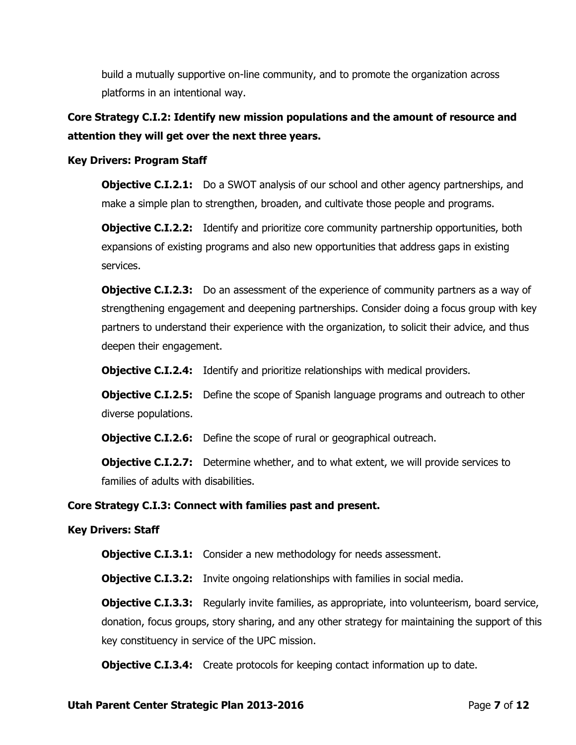build a mutually supportive on-line community, and to promote the organization across platforms in an intentional way.

# **Core Strategy C.I.2: Identify new mission populations and the amount of resource and attention they will get over the next three years.**

## **Key Drivers: Program Staff**

**Objective C.I.2.1:** Do a SWOT analysis of our school and other agency partnerships, and make a simple plan to strengthen, broaden, and cultivate those people and programs.

**Objective C.I.2.2:** Identify and prioritize core community partnership opportunities, both expansions of existing programs and also new opportunities that address gaps in existing services.

**Objective C.I.2.3:** Do an assessment of the experience of community partners as a way of strengthening engagement and deepening partnerships. Consider doing a focus group with key partners to understand their experience with the organization, to solicit their advice, and thus deepen their engagement.

**Objective C.I.2.4:** Identify and prioritize relationships with medical providers.

**Objective C.I.2.5:** Define the scope of Spanish language programs and outreach to other diverse populations.

**Objective C.I.2.6:** Define the scope of rural or geographical outreach.

**Objective C.I.2.7:** Determine whether, and to what extent, we will provide services to families of adults with disabilities.

# **Core Strategy C.I.3: Connect with families past and present.**

### **Key Drivers: Staff**

**Objective C.I.3.1:** Consider a new methodology for needs assessment.

**Objective C.I.3.2:** Invite ongoing relationships with families in social media.

**Objective C.I.3.3:** Regularly invite families, as appropriate, into volunteerism, board service, donation, focus groups, story sharing, and any other strategy for maintaining the support of this key constituency in service of the UPC mission.

**Objective C.I.3.4:** Create protocols for keeping contact information up to date.

### **Utah Parent Center Strategic Plan 2013-2016** Page **7** of **12**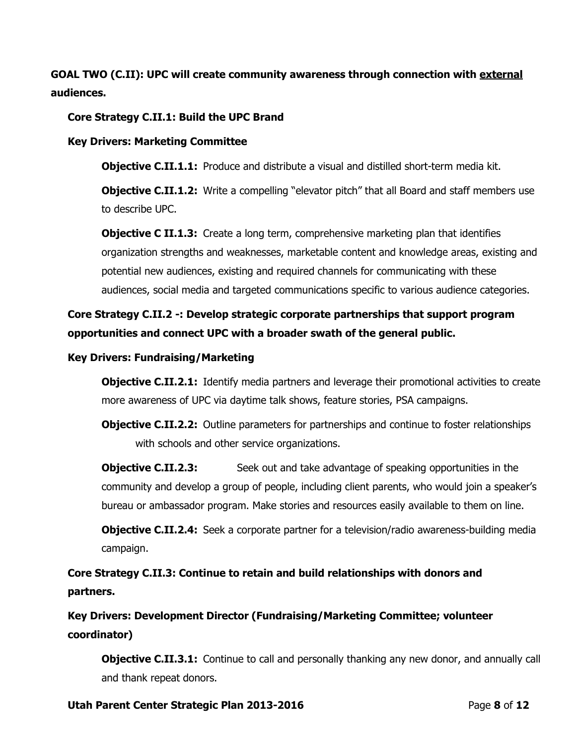**GOAL TWO (C.II): UPC will create community awareness through connection with external audiences.**

## **Core Strategy C.II.1: Build the UPC Brand**

### **Key Drivers: Marketing Committee**

**Objective C.II.1.1:** Produce and distribute a visual and distilled short-term media kit.

**Objective C.II.1.2:** Write a compelling "elevator pitch" that all Board and staff members use to describe UPC.

**Objective C II.1.3:** Create a long term, comprehensive marketing plan that identifies organization strengths and weaknesses, marketable content and knowledge areas, existing and potential new audiences, existing and required channels for communicating with these audiences, social media and targeted communications specific to various audience categories.

# **Core Strategy C.II.2 -: Develop strategic corporate partnerships that support program opportunities and connect UPC with a broader swath of the general public.**

### **Key Drivers: Fundraising/Marketing**

**Objective C.II.2.1:** Identify media partners and leverage their promotional activities to create more awareness of UPC via daytime talk shows, feature stories, PSA campaigns.

**Objective C.II.2.2:** Outline parameters for partnerships and continue to foster relationships with schools and other service organizations.

**Objective C.II.2.3:** Seek out and take advantage of speaking opportunities in the community and develop a group of people, including client parents, who would join a speaker's bureau or ambassador program. Make stories and resources easily available to them on line.

**Objective C.II.2.4:** Seek a corporate partner for a television/radio awareness-building media campaign.

**Core Strategy C.II.3: Continue to retain and build relationships with donors and partners.**

**Key Drivers: Development Director (Fundraising/Marketing Committee; volunteer coordinator)**

**Objective C.II.3.1:** Continue to call and personally thanking any new donor, and annually call and thank repeat donors.

### **Utah Parent Center Strategic Plan 2013-2016** Page **8** of **12**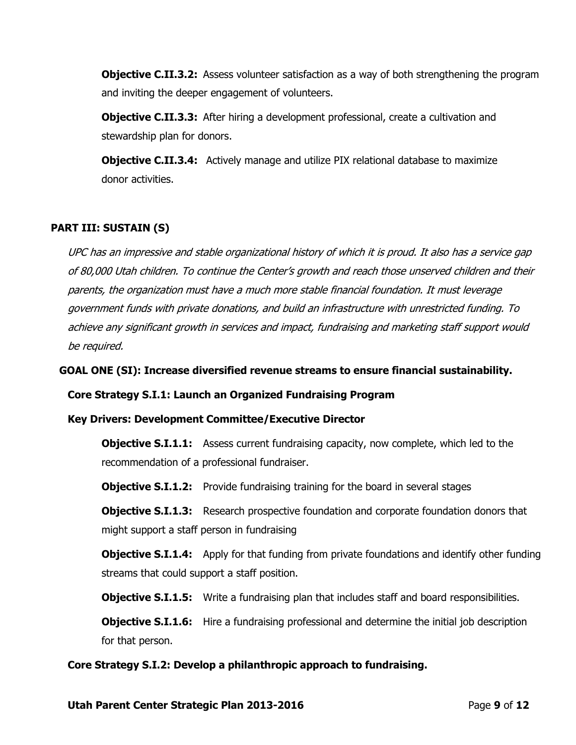**Objective C.II.3.2:** Assess volunteer satisfaction as a way of both strengthening the program and inviting the deeper engagement of volunteers.

**Objective C.II.3.3:** After hiring a development professional, create a cultivation and stewardship plan for donors.

**Objective C.II.3.4:** Actively manage and utilize PIX relational database to maximize donor activities.

# **PART III: SUSTAIN (S)**

UPC has an impressive and stable organizational history of which it is proud. It also has a service gap of 80,000 Utah children. To continue the Center's growth and reach those unserved children and their parents, the organization must have a much more stable financial foundation. It must leverage government funds with private donations, and build an infrastructure with unrestricted funding. To achieve any significant growth in services and impact, fundraising and marketing staff support would be required.

**GOAL ONE (SI): Increase diversified revenue streams to ensure financial sustainability.** 

**Core Strategy S.I.1: Launch an Organized Fundraising Program**

**Key Drivers: Development Committee/Executive Director**

**Objective S.I.1.1:** Assess current fundraising capacity, now complete, which led to the recommendation of a professional fundraiser.

**Objective S.I.1.2:** Provide fundraising training for the board in several stages

**Objective S.I.1.3:** Research prospective foundation and corporate foundation donors that might support a staff person in fundraising

**Objective S.I.1.4:** Apply for that funding from private foundations and identify other funding streams that could support a staff position.

**Objective S.I.1.5:** Write a fundraising plan that includes staff and board responsibilities.

**Objective S.I.1.6:** Hire a fundraising professional and determine the initial job description for that person.

**Core Strategy S.I.2: Develop a philanthropic approach to fundraising.**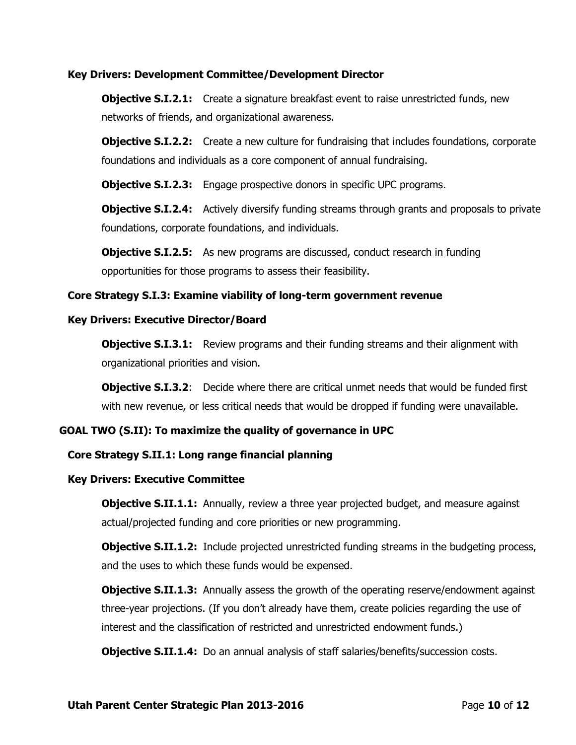### **Key Drivers: Development Committee/Development Director**

**Objective S.I.2.1:** Create a signature breakfast event to raise unrestricted funds, new networks of friends, and organizational awareness.

**Objective S.I.2.2:** Create a new culture for fundraising that includes foundations, corporate foundations and individuals as a core component of annual fundraising.

**Objective S.I.2.3:** Engage prospective donors in specific UPC programs.

**Objective S.I.2.4:** Actively diversify funding streams through grants and proposals to private foundations, corporate foundations, and individuals.

**Objective S.I.2.5:** As new programs are discussed, conduct research in funding opportunities for those programs to assess their feasibility.

#### **Core Strategy S.I.3: Examine viability of long-term government revenue**

#### **Key Drivers: Executive Director/Board**

**Objective S.I.3.1:** Review programs and their funding streams and their alignment with organizational priorities and vision.

**Objective S.I.3.2:** Decide where there are critical unmet needs that would be funded first with new revenue, or less critical needs that would be dropped if funding were unavailable.

### **GOAL TWO (S.II): To maximize the quality of governance in UPC**

### **Core Strategy S.II.1: Long range financial planning**

#### **Key Drivers: Executive Committee**

**Objective S.II.1.1:** Annually, review a three year projected budget, and measure against actual/projected funding and core priorities or new programming.

**Objective S.II.1.2:** Include projected unrestricted funding streams in the budgeting process, and the uses to which these funds would be expensed.

**Objective S.II.1.3:** Annually assess the growth of the operating reserve/endowment against three-year projections. (If you don't already have them, create policies regarding the use of interest and the classification of restricted and unrestricted endowment funds.)

**Objective S.II.1.4:** Do an annual analysis of staff salaries/benefits/succession costs.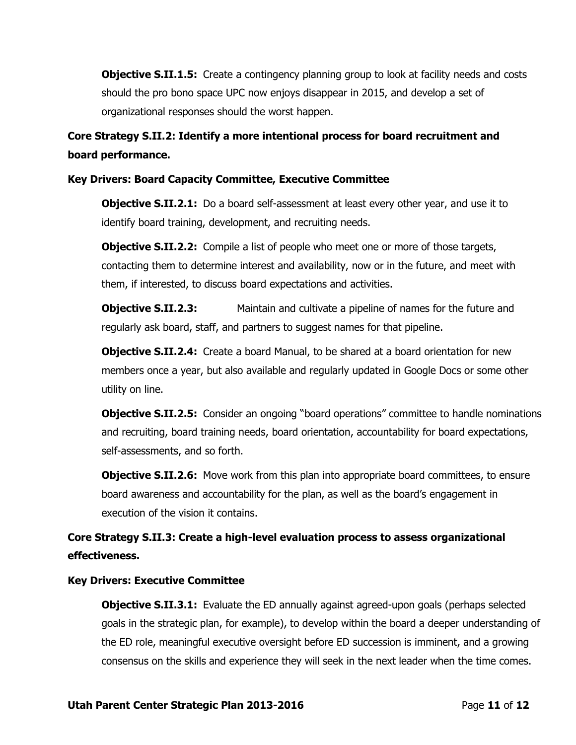**Objective S.II.1.5:** Create a contingency planning group to look at facility needs and costs should the pro bono space UPC now enjoys disappear in 2015, and develop a set of organizational responses should the worst happen.

**Core Strategy S.II.2: Identify a more intentional process for board recruitment and board performance.**

## **Key Drivers: Board Capacity Committee, Executive Committee**

**Objective S.II.2.1:** Do a board self-assessment at least every other year, and use it to identify board training, development, and recruiting needs.

**Objective S.II.2.2:** Compile a list of people who meet one or more of those targets, contacting them to determine interest and availability, now or in the future, and meet with them, if interested, to discuss board expectations and activities.

**Objective S.II.2.3:** Maintain and cultivate a pipeline of names for the future and regularly ask board, staff, and partners to suggest names for that pipeline.

**Objective S.II.2.4:** Create a board Manual, to be shared at a board orientation for new members once a year, but also available and regularly updated in Google Docs or some other utility on line.

**Objective S.II.2.5:** Consider an ongoing "board operations" committee to handle nominations and recruiting, board training needs, board orientation, accountability for board expectations, self-assessments, and so forth.

**Objective S.II.2.6:** Move work from this plan into appropriate board committees, to ensure board awareness and accountability for the plan, as well as the board's engagement in execution of the vision it contains.

**Core Strategy S.II.3: Create a high-level evaluation process to assess organizational effectiveness.**

**Key Drivers: Executive Committee**

**Objective S.II.3.1:** Evaluate the ED annually against agreed-upon goals (perhaps selected goals in the strategic plan, for example), to develop within the board a deeper understanding of the ED role, meaningful executive oversight before ED succession is imminent, and a growing consensus on the skills and experience they will seek in the next leader when the time comes.